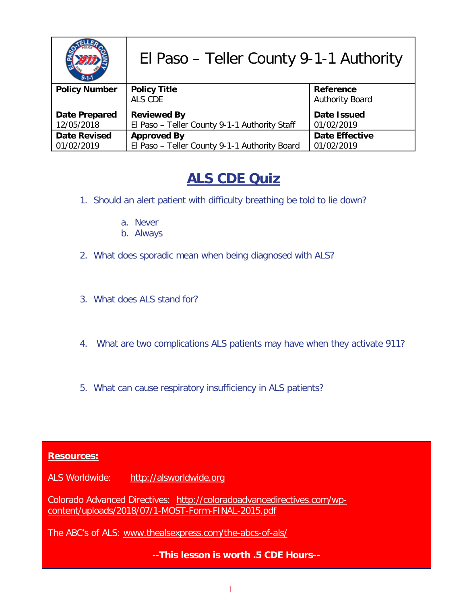|                      | El Paso - Teller County 9-1-1 Authority       |                        |
|----------------------|-----------------------------------------------|------------------------|
| <b>Policy Number</b> | <b>Policy Title</b>                           | Reference              |
|                      | ALS CDE                                       | <b>Authority Board</b> |
| <b>Date Prepared</b> | <b>Reviewed By</b>                            | Date Issued            |
| 12/05/2018           | El Paso - Teller County 9-1-1 Authority Staff | 01/02/2019             |
| <b>Date Revised</b>  | <b>Approved By</b>                            | <b>Date Effective</b>  |
| 01/02/2019           | El Paso - Teller County 9-1-1 Authority Board | 01/02/2019             |

## **ALS CDE Quiz**

- 1. Should an alert patient with difficulty breathing be told to lie down?
	- a. Never
	- b. Always
- 2. What does sporadic mean when being diagnosed with ALS?
- 3. What does ALS stand for?
- 4. What are two complications ALS patients may have when they activate 911?
- 5. What can cause respiratory insufficiency in ALS patients?

#### **Resources:**

ALS Worldwide: [http://alsworldwide.org](http://alsworldwide.org/)

Colorado Advanced Directives: [http://coloradoadvancedirectives.com/wp](http://coloradoadvancedirectives.com/wp-content/uploads/2018/07/1-MOST-Form-FINAL-2015.pdf)[content/uploads/2018/07/1-MOST-Form-FINAL-2015.pdf](http://coloradoadvancedirectives.com/wp-content/uploads/2018/07/1-MOST-Form-FINAL-2015.pdf)

The ABC's of ALS: [www.thealsexpress.com/the-abcs-of-als/](http://www.thealsexpress.com/the-abcs-of-als/)

--**This lesson is worth .5 CDE Hours--**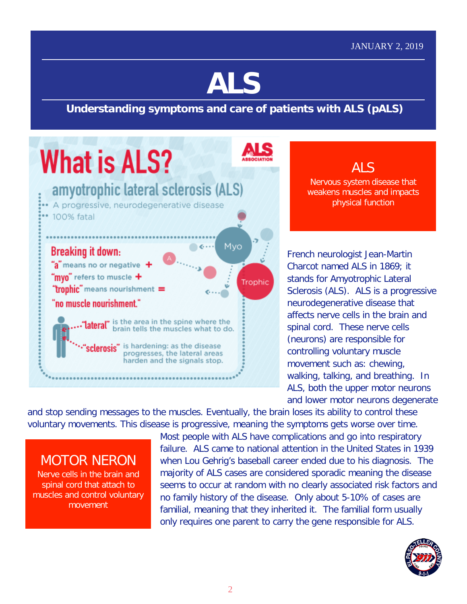# **ALS**

### **Understanding symptoms and care of patients with ALS (pALS)**



ALS Nervous system disease that weakens muscles and impacts physical function

French neurologist Jean-Martin Charcot named ALS in 1869; it stands for Amyotrophic Lateral Sclerosis (ALS). ALS is a progressive neurodegenerative disease that affects nerve cells in the brain and spinal cord. These nerve cells (neurons) are responsible for controlling voluntary muscle movement such as: chewing, walking, talking, and breathing. In ALS, both the upper motor neurons and lower motor neurons degenerate

and stop sending messages to the muscles. Eventually, the brain loses its ability to control these voluntary movements. This disease is progressive, meaning the symptoms gets worse over time.

## MOTOR NERON

Nerve cells in the brain and spinal cord that attach to muscles and control voluntary movement

Most people with ALS have complications and go into respiratory failure. ALS came to national attention in the United States in 1939 when Lou Gehrig's baseball career ended due to his diagnosis. The majority of ALS cases are considered sporadic meaning the disease seems to occur at random with no clearly associated risk factors and no family history of the disease. Only about 5-10% of cases are familial, meaning that they inherited it. The familial form usually only requires one parent to carry the gene responsible for ALS.